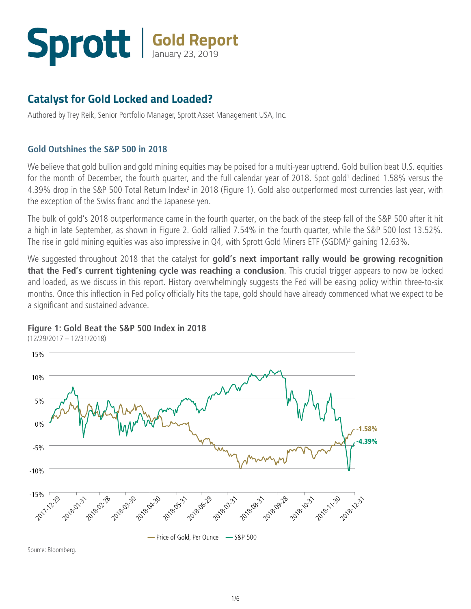## **Gold Report** January 23, 2019

#### **Catalyst for Gold Locked and Loaded?**

Authored by Trey Reik, Senior Portfolio Manager, Sprott Asset Management USA, Inc.

#### **Gold Outshines the S&P 500 in 2018**

We believe that gold bullion and gold mining equities may be poised for a multi-year uptrend. Gold bullion beat U.S. equities for the month of December, the fourth quarter, and the full calendar year of 2018. Spot gold<sup>1</sup> declined 1.58% versus the 4.39% drop in the S&P 500 Total Return Index<sup>2</sup> in 2018 (Figure 1). Gold also outperformed most currencies last year, with the exception of the Swiss franc and the Japanese yen.

The bulk of gold's 2018 outperformance came in the fourth quarter, on the back of the steep fall of the S&P 500 after it hit a high in late September, as shown in Figure 2. Gold rallied 7.54% in the fourth quarter, while the S&P 500 lost 13.52%. The rise in gold mining equities was also impressive in Q4, with Sprott Gold Miners ETF (SGDM)<sup>3</sup> gaining 12.63%.

We suggested throughout 2018 that the catalyst for **gold's next important rally would be growing recognition that the Fed's current tightening cycle was reaching a conclusion**. This crucial trigger appears to now be locked and loaded, as we discuss in this report. History overwhelmingly suggests the Fed will be easing policy within three-to-six months. Once this inflection in Fed policy officially hits the tape, gold should have already commenced what we expect to be a significant and sustained advance.

#### **Figure 1: Gold Beat the S&P 500 Index in 2018**



(12/29/2017 – 12/31/2018)

Source: Bloomberg.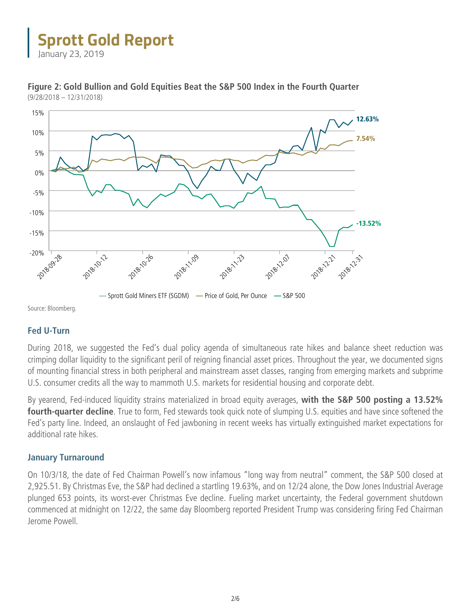January 23, 2019



**Figure 2: Gold Bullion and Gold Equities Beat the S&P 500 Index in the Fourth Quarter**  (9/28/2018 – 12/31/2018)

Source: Bloomberg.

#### **Fed U-Turn**

During 2018, we suggested the Fed's dual policy agenda of simultaneous rate hikes and balance sheet reduction was crimping dollar liquidity to the significant peril of reigning financial asset prices. Throughout the year, we documented signs of mounting financial stress in both peripheral and mainstream asset classes, ranging from emerging markets and subprime U.S. consumer credits all the way to mammoth U.S. markets for residential housing and corporate debt.

By yearend, Fed-induced liquidity strains materialized in broad equity averages, **with the S&P 500 posting a 13.52% fourth-quarter decline**. True to form, Fed stewards took quick note of slumping U.S. equities and have since softened the Fed's party line. Indeed, an onslaught of Fed jawboning in recent weeks has virtually extinguished market expectations for additional rate hikes.

#### **January Turnaround**

On 10/3/18, the date of Fed Chairman Powell's now infamous "long way from neutral" comment, the S&P 500 closed at 2,925.51. By Christmas Eve, the S&P had declined a startling 19.63%, and on 12/24 alone, the Dow Jones Industrial Average plunged 653 points, its worst-ever Christmas Eve decline. Fueling market uncertainty, the Federal government shutdown commenced at midnight on 12/22, the same day Bloomberg reported President Trump was considering firing Fed Chairman Jerome Powell.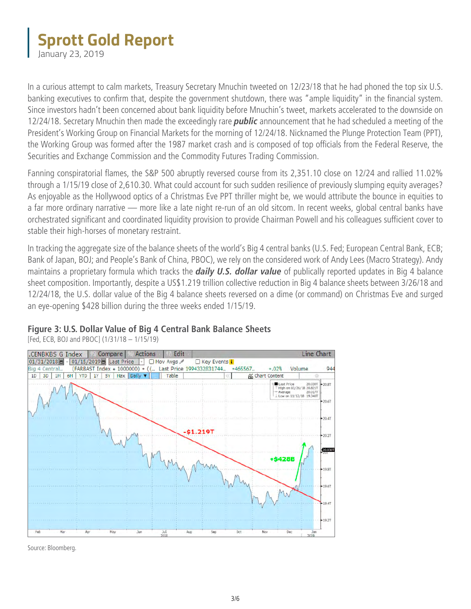January 23, 2019

In a curious attempt to calm markets, Treasury Secretary Mnuchin tweeted on 12/23/18 that he had phoned the top six U.S. banking executives to confirm that, despite the government shutdown, there was "ample liquidity" in the financial system. Since investors hadn't been concerned about bank liquidity before Mnuchin's tweet, markets accelerated to the downside on 12/24/18. Secretary Mnuchin then made the exceedingly rare *public* announcement that he had scheduled a meeting of the President's Working Group on Financial Markets for the morning of 12/24/18. Nicknamed the Plunge Protection Team (PPT), the Working Group was formed after the 1987 market crash and is composed of top officials from the Federal Reserve, the Securities and Exchange Commission and the Commodity Futures Trading Commission.

Fanning conspiratorial flames, the S&P 500 abruptly reversed course from its 2,351.10 close on 12/24 and rallied 11.02% through a 1/15/19 close of 2,610.30. What could account for such sudden resilience of previously slumping equity averages? As enjoyable as the Hollywood optics of a Christmas Eve PPT thriller might be, we would attribute the bounce in equities to a far more ordinary narrative — more like a late night re-run of an old sitcom. In recent weeks, global central banks have orchestrated significant and coordinated liquidity provision to provide Chairman Powell and his colleagues sufficient cover to stable their high-horses of monetary restraint.

In tracking the aggregate size of the balance sheets of the world's Big 4 central banks (U.S. Fed; European Central Bank, ECB; Bank of Japan, BOJ; and People's Bank of China, PBOC), we rely on the considered work of Andy Lees (Macro Strategy). Andy maintains a proprietary formula which tracks the *daily U.S. dollar value* of publically reported updates in Big 4 balance sheet composition. Importantly, despite a US\$1.219 trillion collective reduction in Big 4 balance sheets between 3/26/18 and 12/24/18, the U.S. dollar value of the Big 4 balance sheets reversed on a dime (or command) on Christmas Eve and surged an eye-opening \$428 billion during the three weeks ended 1/15/19.

#### **Figure 3: U.S. Dollar Value of Big 4 Central Bank Balance Sheets**

[Fed, ECB, BOJ and PBOC] (1/31/18 – 1/15/19)



Source: Bloomberg.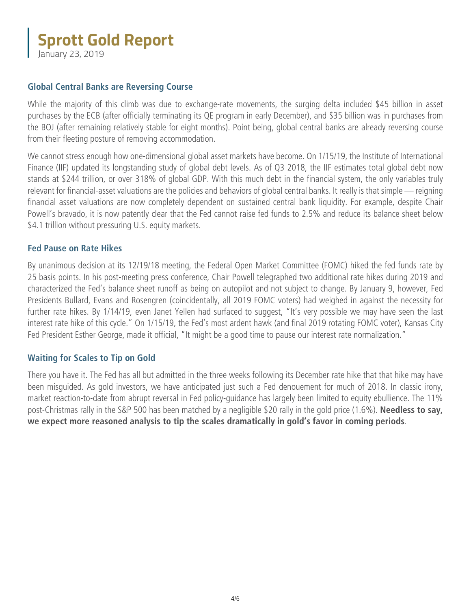January 23, 2019

#### **Global Central Banks are Reversing Course**

While the majority of this climb was due to exchange-rate movements, the surging delta included \$45 billion in asset purchases by the ECB (after officially terminating its QE program in early December), and \$35 billion was in purchases from the BOJ (after remaining relatively stable for eight months). Point being, global central banks are already reversing course from their fleeting posture of removing accommodation.

We cannot stress enough how one-dimensional global asset markets have become. On 1/15/19, the Institute of International Finance (IIF) updated its longstanding study of global debt levels. As of Q3 2018, the IIF estimates total global debt now stands at \$244 trillion, or over 318% of global GDP. With this much debt in the financial system, the only variables truly relevant for financial-asset valuations are the policies and behaviors of global central banks. It really is that simple — reigning financial asset valuations are now completely dependent on sustained central bank liquidity. For example, despite Chair Powell's bravado, it is now patently clear that the Fed cannot raise fed funds to 2.5% and reduce its balance sheet below \$4.1 trillion without pressuring U.S. equity markets.

#### **Fed Pause on Rate Hikes**

By unanimous decision at its 12/19/18 meeting, the Federal Open Market Committee (FOMC) hiked the fed funds rate by 25 basis points. In his post-meeting press conference, Chair Powell telegraphed two additional rate hikes during 2019 and characterized the Fed's balance sheet runoff as being on autopilot and not subject to change. By January 9, however, Fed Presidents Bullard, Evans and Rosengren (coincidentally, all 2019 FOMC voters) had weighed in against the necessity for further rate hikes. By 1/14/19, even Janet Yellen had surfaced to suggest, "It's very possible we may have seen the last interest rate hike of this cycle." On 1/15/19, the Fed's most ardent hawk (and final 2019 rotating FOMC voter), Kansas City Fed President Esther George, made it official, "It might be a good time to pause our interest rate normalization."

#### **Waiting for Scales to Tip on Gold**

There you have it. The Fed has all but admitted in the three weeks following its December rate hike that that hike may have been misguided. As gold investors, we have anticipated just such a Fed denouement for much of 2018. In classic irony, market reaction-to-date from abrupt reversal in Fed policy-guidance has largely been limited to equity ebullience. The 11% post-Christmas rally in the S&P 500 has been matched by a negligible \$20 rally in the gold price (1.6%). **Needless to say, we expect more reasoned analysis to tip the scales dramatically in gold's favor in coming periods**.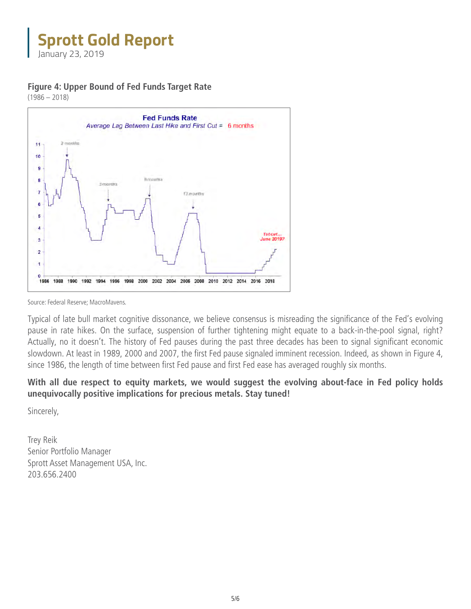January 23, 2019

**Figure 4: Upper Bound of Fed Funds Target Rate** 

 $(1986 - 2018)$ 



Source: Federal Reserve; MacroMavens.

Typical of late bull market cognitive dissonance, we believe consensus is misreading the significance of the Fed's evolving pause in rate hikes. On the surface, suspension of further tightening might equate to a back-in-the-pool signal, right? Actually, no it doesn't. The history of Fed pauses during the past three decades has been to signal significant economic slowdown. At least in 1989, 2000 and 2007, the first Fed pause signaled imminent recession. Indeed, as shown in Figure 4, since 1986, the length of time between first Fed pause and first Fed ease has averaged roughly six months.

#### **With all due respect to equity markets, we would suggest the evolving about-face in Fed policy holds unequivocally positive implications for precious metals. Stay tuned!**

Sincerely,

Trey Reik Senior Portfolio Manager Sprott Asset Management USA, Inc. 203.656.2400